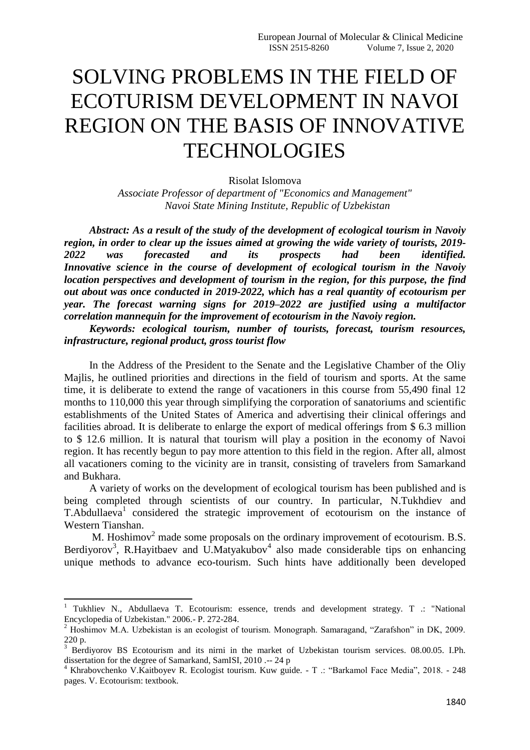## SOLVING PROBLEMS IN THE FIELD OF ECOTURISM DEVELOPMENT IN NAVOI REGION ON THE BASIS OF INNOVATIVE **TECHNOLOGIES**

Risolat Islomova

*Associate Professor of department of "Economics and Management" Navoi State Mining Institute, Republic of Uzbekistan* 

*Abstract: As a result of the study of the development of ecological tourism in Navoiy region, in order to clear up the issues aimed at growing the wide variety of tourists, 2019- 2022 was forecasted and its prospects had been identified. Innovative science in the course of development of ecological tourism in the Navoiy location perspectives and development of tourism in the region, for this purpose, the find out about was once conducted in 2019-2022, which has a real quantity of ecotourism per year. The forecast warning signs for 2019–2022 are justified using a multifactor correlation mannequin for the improvement of ecotourism in the Navoiy region.*

*Keywords: ecological tourism, number of tourists, forecast, tourism resources, infrastructure, regional product, gross tourist flow*

In the Address of the President to the Senate and the Legislative Chamber of the Oliy Majlis, he outlined priorities and directions in the field of tourism and sports. At the same time, it is deliberate to extend the range of vacationers in this course from 55,490 final 12 months to 110,000 this year through simplifying the corporation of sanatoriums and scientific establishments of the United States of America and advertising their clinical offerings and facilities abroad. It is deliberate to enlarge the export of medical offerings from \$ 6.3 million to \$ 12.6 million. It is natural that tourism will play a position in the economy of Navoi region. It has recently begun to pay more attention to this field in the region. After all, almost all vacationers coming to the vicinity are in transit, consisting of travelers from Samarkand and Bukhara.

A variety of works on the development of ecological tourism has been published and is being completed through scientists of our country. In particular, N.Tukhdiev and T.Abdullaeva<sup>1</sup> considered the strategic improvement of ecotourism on the instance of Western Tianshan.

M. Hoshimov<sup>2</sup> made some proposals on the ordinary improvement of ecotourism. B.S. Berdiyorov<sup>3</sup>, R.Hayitbaev and U.Matyakubov<sup>4</sup> also made considerable tips on enhancing unique methods to advance eco-tourism. Such hints have additionally been developed

**.** 

<sup>&</sup>lt;sup>1</sup> Tukhliev N., Abdullaeva T. Ecotourism: essence, trends and development strategy. T .: "National Encyclopedia of Uzbekistan." 2006.- P. 272-284.

<sup>&</sup>lt;sup>2</sup> Hoshimov M.A. Uzbekistan is an ecologist of tourism. Monograph. Samaragand, "Zarafshon" in DK, 2009. 220 p.

<sup>&</sup>lt;sup>3</sup> Berdivorov BS Ecotourism and its nirni in the market of Uzbekistan tourism services. 08.00.05. I.Ph. dissertation for the degree of Samarkand, SamISI, 2010 .-- 24 p

<sup>4</sup> Khrabovchenko V.Kaitboyev R. Ecologist tourism. Kuw guide. - T .: "Barkamol Face Media", 2018. - 248 pages. V. Ecotourism: textbook.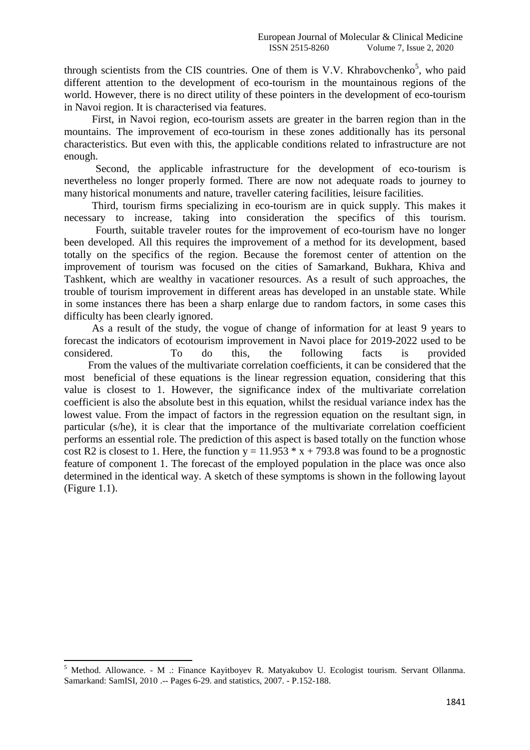through scientists from the CIS countries. One of them is V.V. Khrabovchenko<sup>5</sup>, who paid different attention to the development of eco-tourism in the mountainous regions of the world. However, there is no direct utility of these pointers in the development of eco-tourism in Navoi region. It is characterised via features.

First, in Navoi region, eco-tourism assets are greater in the barren region than in the mountains. The improvement of eco-tourism in these zones additionally has its personal characteristics. But even with this, the applicable conditions related to infrastructure are not enough.

Second, the applicable infrastructure for the development of eco-tourism is nevertheless no longer properly formed. There are now not adequate roads to journey to many historical monuments and nature, traveller catering facilities, leisure facilities.

Third, tourism firms specializing in eco-tourism are in quick supply. This makes it necessary to increase, taking into consideration the specifics of this tourism.

 Fourth, suitable traveler routes for the improvement of eco-tourism have no longer been developed. All this requires the improvement of a method for its development, based totally on the specifics of the region. Because the foremost center of attention on the improvement of tourism was focused on the cities of Samarkand, Bukhara, Khiva and Tashkent, which are wealthy in vacationer resources. As a result of such approaches, the trouble of tourism improvement in different areas has developed in an unstable state. While in some instances there has been a sharp enlarge due to random factors, in some cases this difficulty has been clearly ignored.

As a result of the study, the vogue of change of information for at least 9 years to forecast the indicators of ecotourism improvement in Navoi place for 2019-2022 used to be considered. To do this, the following facts is provided From the values of the multivariate correlation coefficients, it can be considered that the most beneficial of these equations is the linear regression equation, considering that this value is closest to 1. However, the significance index of the multivariate correlation coefficient is also the absolute best in this equation, whilst the residual variance index has the lowest value. From the impact of factors in the regression equation on the resultant sign, in particular (s/he), it is clear that the importance of the multivariate correlation coefficient performs an essential role. The prediction of this aspect is based totally on the function whose cost R2 is closest to 1. Here, the function  $y = 11.953 * x + 793.8$  was found to be a prognostic feature of component 1. The forecast of the employed population in the place was once also determined in the identical way. A sketch of these symptoms is shown in the following layout (Figure 1.1).

**<sup>.</sup>**  $<sup>5</sup>$  Method. Allowance. - M .: Finance Kayitboyev R. Matyakubov U. Ecologist tourism. Servant Ollanma.</sup> Samarkand: SamISI, 2010 .-- Pages 6-29. and statistics, 2007. - P.152-188.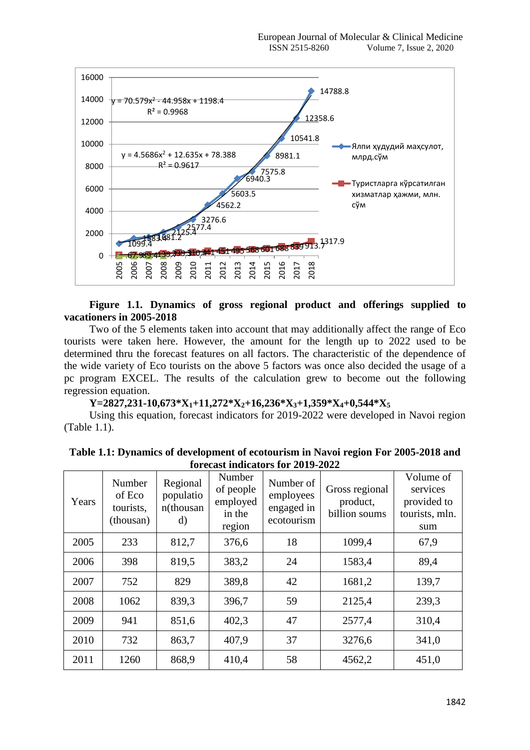

## **Figure 1.1. Dynamics of gross regional product and offerings supplied to vacationers in 2005-2018**

Two of the 5 elements taken into account that may additionally affect the range of Eco tourists were taken here. However, the amount for the length up to 2022 used to be determined thru the forecast features on all factors. The characteristic of the dependence of the wide variety of Eco tourists on the above 5 factors was once also decided the usage of a pc program EXCEL. The results of the calculation grew to become out the following regression equation.

**Y=2827,231-10,673\*X1+11,272\*X2+16,236\*X3+1,359\*X4+0,544\*X<sup>5</sup>**

Using this equation, forecast indicators for 2019-2022 were developed in Navoi region (Table 1.1).

| Years | Number<br>of Eco<br>tourists,<br>(thousan) | Regional<br>populatio<br>n(thousan<br>d) | Number<br>of people<br>employed<br>in the<br>region | Number of<br>employees<br>engaged in<br>ecotourism | Gross regional<br>product,<br>billion soums | Volume of<br>services<br>provided to<br>tourists, mln.<br>sum |
|-------|--------------------------------------------|------------------------------------------|-----------------------------------------------------|----------------------------------------------------|---------------------------------------------|---------------------------------------------------------------|
| 2005  | 233                                        | 812,7                                    | 376,6                                               | 18                                                 | 1099,4                                      | 67,9                                                          |
| 2006  | 398                                        | 819,5                                    | 383,2                                               | 24                                                 | 1583,4                                      | 89,4                                                          |
| 2007  | 752                                        | 829                                      | 389,8                                               | 42                                                 | 1681,2                                      | 139,7                                                         |
| 2008  | 1062                                       | 839,3                                    | 396,7                                               | 59                                                 | 2125,4                                      | 239,3                                                         |
| 2009  | 941                                        | 851,6                                    | 402,3                                               | 47                                                 | 2577,4                                      | 310,4                                                         |
| 2010  | 732                                        | 863,7                                    | 407.9                                               | 37                                                 | 3276,6                                      | 341,0                                                         |
| 2011  | 1260                                       | 868,9                                    | 410,4                                               | 58                                                 | 4562,2                                      | 451,0                                                         |

**Table 1.1: Dynamics of development of ecotourism in Navoi region For 2005-2018 and forecast indicators for 2019-2022**